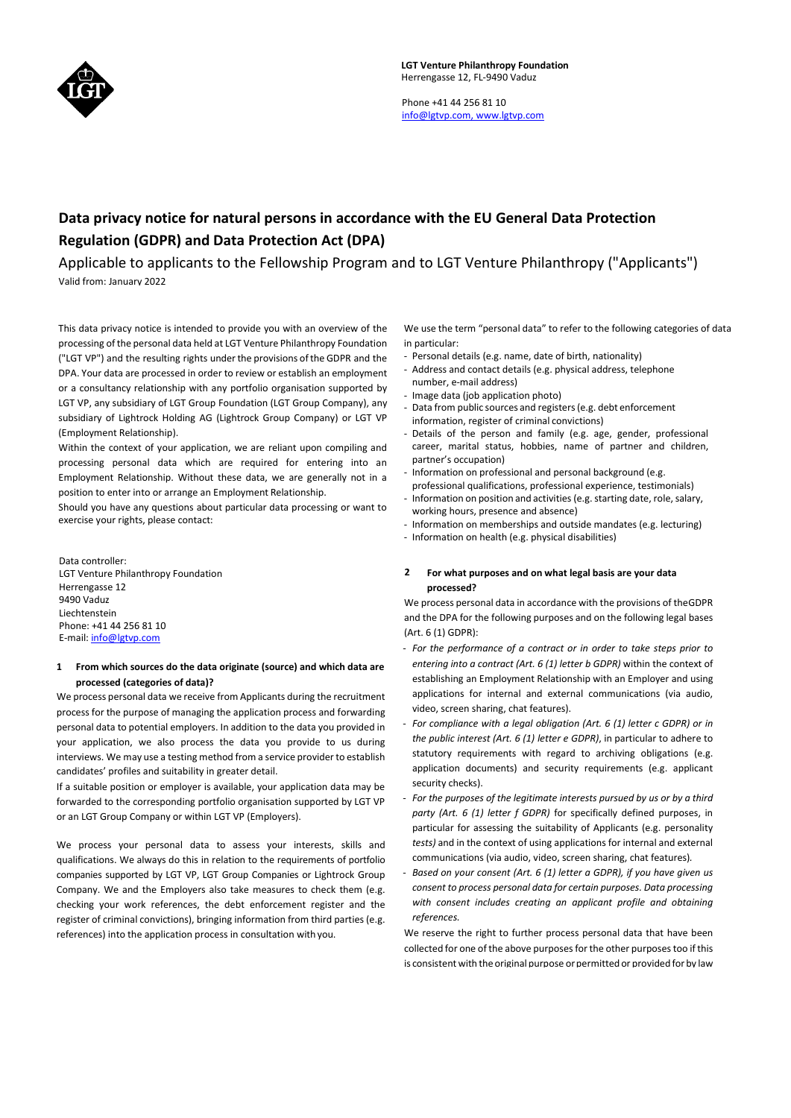

Phone +41 44 256 81 10 [info@lgtvp.com,](mailto:info@lgtvp.com,) [www.lgtvp.com](http://www.lgtvp.com/)

# **Data privacy notice for natural persons in accordance with the EU General Data Protection Regulation (GDPR) and Data Protection Act (DPA)**

Applicable to applicants to the Fellowship Program and to LGT Venture Philanthropy ("Applicants") Valid from: January 2022

This data privacy notice is intended to provide you with an overview of the processing of the personal data held at LGT Venture Philanthropy Foundation ("LGT VP") and the resulting rights underthe provisions ofthe GDPR and the DPA. Your data are processed in order to review or establish an employment or a consultancy relationship with any portfolio organisation supported by LGT VP, any subsidiary of LGT Group Foundation (LGT Group Company), any subsidiary of Lightrock Holding AG (Lightrock Group Company) or LGT VP (Employment Relationship).

Within the context of your application, we are reliant upon compiling and processing personal data which are required for entering into an Employment Relationship. Without these data, we are generally not in a position to enter into or arrange an Employment Relationship.

Should you have any questions about particular data processing or want to exercise your rights, please contact:

Data controller: LGT Venture Philanthropy Foundation Herrengasse 12 9490 Vaduz Liechtenstein Phone: +41 44 256 81 10 E-mail[: info@lgtvp.com](mailto:info@lgtvp.com)

## **1 From which sources do the data originate (source) and which data are processed (categories of data)?**

We process personal data we receive from Applicants during the recruitment process for the purpose of managing the application process and forwarding personal data to potential employers. In addition to the data you provided in your application, we also process the data you provide to us during interviews. We may use a testing method from a service provider to establish candidates' profiles and suitability in greater detail.

If a suitable position or employer is available, your application data may be forwarded to the corresponding portfolio organisation supported by LGT VP or an LGT Group Company or within LGT VP (Employers).

We process your personal data to assess your interests, skills and qualifications. We always do this in relation to the requirements of portfolio companies supported by LGT VP, LGT Group Companies or Lightrock Group Company. We and the Employers also take measures to check them (e.g. checking your work references, the debt enforcement register and the register of criminal convictions), bringing information from third parties (e.g. references) into the application process in consultation with you.

We use the term "personal data" to refer to the following categories of data in particular:

- Personal details (e.g. name, date of birth, nationality)
- Address and contact details (e.g. physical address, telephone number, e-mail address)
- Image data (job application photo)
- Data from public sources and registers(e.g. debt enforcement information, register of criminal convictions)
- Details of the person and family (e.g. age, gender, professional career, marital status, hobbies, name of partner and children, partner's occupation)
- Information on professional and personal background (e.g. professional qualifications, professional experience, testimonials)
- Information on position and activities (e.g. starting date, role, salary, working hours, presence and absence)
- Information on memberships and outside mandates (e.g. lecturing)
- Information on health (e.g. physical disabilities)

## **2 For what purposes and on what legal basis are your data processed?**

We process personal data in accordance with the provisions of theGDPR and the DPA for the following purposes and on the following legal bases (Art. 6 (1) GDPR):

- *- For the performance of a contract or in order to take steps prior to entering into a contract (Art. 6 (1) letter b GDPR)* within the context of establishing an Employment Relationship with an Employer and using applications for internal and external communications (via audio, video, screen sharing, chat features).
- *- For compliance with a legal obligation (Art. 6 (1) letter c GDPR) or in the public interest (Art. 6 (1) letter e GDPR)*, in particular to adhere to statutory requirements with regard to archiving obligations (e.g. application documents) and security requirements (e.g. applicant security checks).
- *- For the purposes of the legitimate interests pursued by us or by a third party (Art. 6 (1) letter f GDPR)* for specifically defined purposes, in particular for assessing the suitability of Applicants (e.g. personality *tests)* and in the context of using applications for internal and external communications (via audio, video, screen sharing, chat features)*.*
- *- Based on your consent (Art. 6 (1) letter a GDPR), if you have given us consent to process personal data for certain purposes. Data processing with consent includes creating an applicant profile and obtaining references.*

We reserve the right to further process personal data that have been collected for one of the above purposes for the other purposes too if this is consistent with the original purpose or permitted or provided for by law